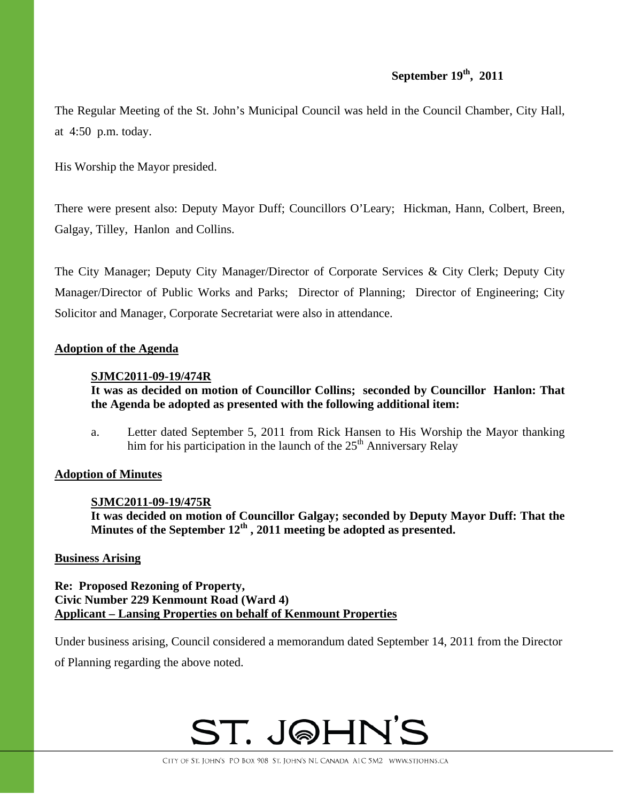# **September 19th, 2011**

The Regular Meeting of the St. John's Municipal Council was held in the Council Chamber, City Hall, at 4:50 p.m. today.

His Worship the Mayor presided.

There were present also: Deputy Mayor Duff; Councillors O'Leary; Hickman, Hann, Colbert, Breen, Galgay, Tilley, Hanlon and Collins.

The City Manager; Deputy City Manager/Director of Corporate Services & City Clerk; Deputy City Manager/Director of Public Works and Parks; Director of Planning; Director of Engineering; City Solicitor and Manager, Corporate Secretariat were also in attendance.

# **Adoption of the Agenda**

# **SJMC2011-09-19/474R**

**It was as decided on motion of Councillor Collins; seconded by Councillor Hanlon: That the Agenda be adopted as presented with the following additional item:** 

a. Letter dated September 5, 2011 from Rick Hansen to His Worship the Mayor thanking him for his participation in the launch of the  $25<sup>th</sup>$  Anniversary Relay

# **Adoption of Minutes**

# **SJMC2011-09-19/475R**

**It was decided on motion of Councillor Galgay; seconded by Deputy Mayor Duff: That the Minutes of the September 12th , 2011 meeting be adopted as presented.** 

# **Business Arising**

**Re: Proposed Rezoning of Property, Civic Number 229 Kenmount Road (Ward 4) Applicant – Lansing Properties on behalf of Kenmount Properties**

Under business arising, Council considered a memorandum dated September 14, 2011 from the Director

of Planning regarding the above noted.

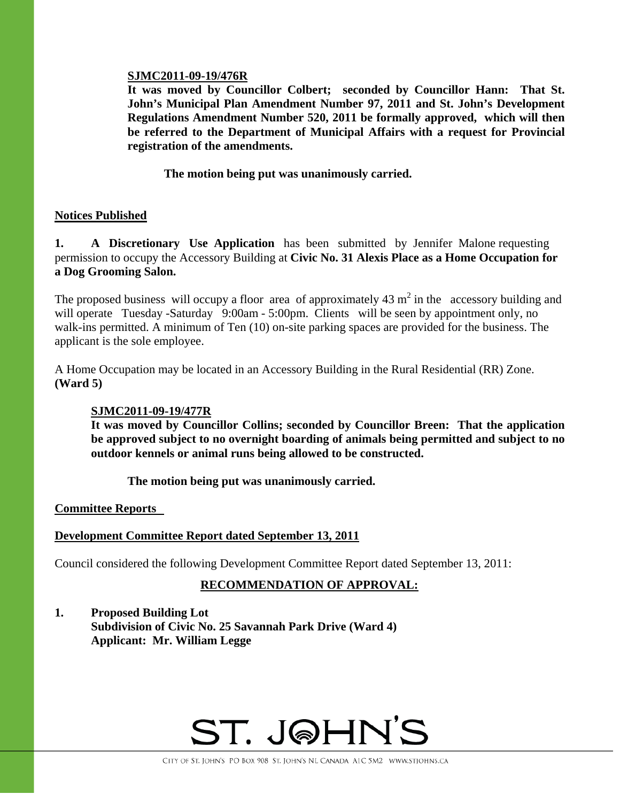## **SJMC2011-09-19/476R**

**It was moved by Councillor Colbert; seconded by Councillor Hann: That St. John's Municipal Plan Amendment Number 97, 2011 and St. John's Development Regulations Amendment Number 520, 2011 be formally approved, which will then be referred to the Department of Municipal Affairs with a request for Provincial registration of the amendments.** 

 **The motion being put was unanimously carried.** 

# **Notices Published**

**1.** A Discretionary Use Application has been submitted by Jennifer Malone requesting permission to occupy the Accessory Building at **Civic No. 31 Alexis Place as a Home Occupation for a Dog Grooming Salon.** 

The proposed business will occupy a floor area of approximately  $43 \text{ m}^2$  in the accessory building and will operate Tuesday -Saturday 9:00am - 5:00pm. Clients will be seen by appointment only, no walk-ins permitted. A minimum of Ten (10) on-site parking spaces are provided for the business. The applicant is the sole employee.

A Home Occupation may be located in an Accessory Building in the Rural Residential (RR) Zone. **(Ward 5)** 

# **SJMC2011-09-19/477R**

**It was moved by Councillor Collins; seconded by Councillor Breen: That the application be approved subject to no overnight boarding of animals being permitted and subject to no outdoor kennels or animal runs being allowed to be constructed.** 

**The motion being put was unanimously carried.** 

**Committee Reports** 

# **Development Committee Report dated September 13, 2011**

Council considered the following Development Committee Report dated September 13, 2011:

# **RECOMMENDATION OF APPROVAL:**

**1. Proposed Building Lot Subdivision of Civic No. 25 Savannah Park Drive (Ward 4) Applicant: Mr. William Legge** 

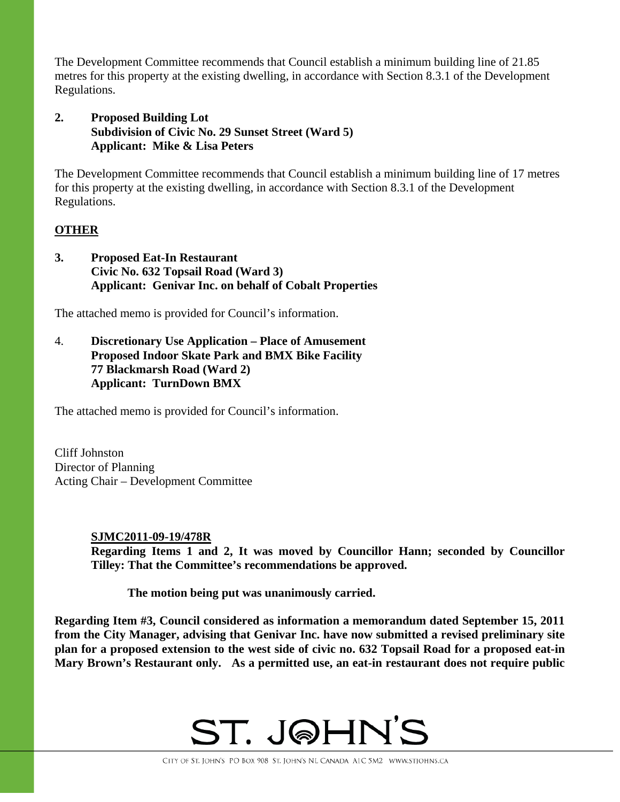The Development Committee recommends that Council establish a minimum building line of 21.85 metres for this property at the existing dwelling, in accordance with Section 8.3.1 of the Development Regulations.

# **2. Proposed Building Lot Subdivision of Civic No. 29 Sunset Street (Ward 5) Applicant: Mike & Lisa Peters**

The Development Committee recommends that Council establish a minimum building line of 17 metres for this property at the existing dwelling, in accordance with Section 8.3.1 of the Development Regulations.

# **OTHER**

**3. Proposed Eat-In Restaurant Civic No. 632 Topsail Road (Ward 3) Applicant: Genivar Inc. on behalf of Cobalt Properties** 

The attached memo is provided for Council's information.

4. **Discretionary Use Application – Place of Amusement Proposed Indoor Skate Park and BMX Bike Facility 77 Blackmarsh Road (Ward 2) Applicant: TurnDown BMX** 

The attached memo is provided for Council's information.

Cliff Johnston Director of Planning Acting Chair – Development Committee

# **SJMC2011-09-19/478R Regarding Items 1 and 2, It was moved by Councillor Hann; seconded by Councillor Tilley: That the Committee's recommendations be approved.**

 **The motion being put was unanimously carried.** 

**Regarding Item #3, Council considered as information a memorandum dated September 15, 2011 from the City Manager, advising that Genivar Inc. have now submitted a revised preliminary site plan for a proposed extension to the west side of civic no. 632 Topsail Road for a proposed eat-in Mary Brown's Restaurant only. As a permitted use, an eat-in restaurant does not require public** 

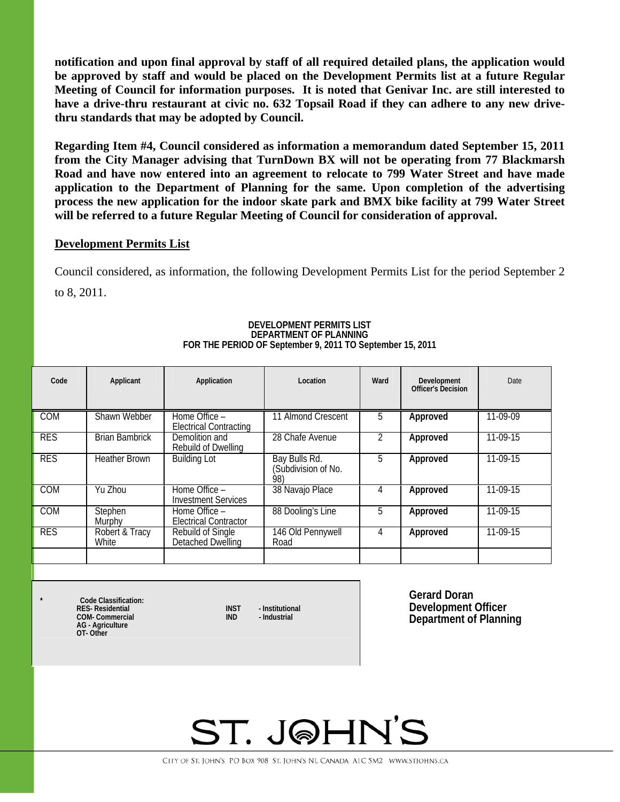**notification and upon final approval by staff of all required detailed plans, the application would be approved by staff and would be placed on the Development Permits list at a future Regular Meeting of Council for information purposes. It is noted that Genivar Inc. are still interested to have a drive-thru restaurant at civic no. 632 Topsail Road if they can adhere to any new drivethru standards that may be adopted by Council.** 

**Regarding Item #4, Council considered as information a memorandum dated September 15, 2011 from the City Manager advising that TurnDown BX will not be operating from 77 Blackmarsh Road and have now entered into an agreement to relocate to 799 Water Street and have made application to the Department of Planning for the same. Upon completion of the advertising process the new application for the indoor skate park and BMX bike facility at 799 Water Street will be referred to a future Regular Meeting of Council for consideration of approval.** 

### **Development Permits List**

Council considered, as information, the following Development Permits List for the period September 2 to 8, 2011.

| Code       | Applicant               | Application                                    | Location                                    | Ward | Development<br>Officer's Decision | Date       |
|------------|-------------------------|------------------------------------------------|---------------------------------------------|------|-----------------------------------|------------|
| <b>COM</b> | Shawn Webber            | Home Office -<br><b>Electrical Contracting</b> | 11 Almond Crescent                          | 5    | Approved                          | 11-09-09   |
| <b>RES</b> | <b>Brian Bambrick</b>   | Demolition and<br>Rebuild of Dwelling          | 28 Chafe Avenue                             |      | Approved                          | $11-09-15$ |
| <b>RES</b> | <b>Heather Brown</b>    | <b>Building Lot</b>                            | Bay Bulls Rd.<br>(Subdivision of No.<br>98) | 5    | Approved                          | $11-09-15$ |
| <b>COM</b> | Yu Zhou                 | Home Office -<br><b>Investment Services</b>    | 38 Navajo Place                             | 4    | Approved                          | 11-09-15   |
| <b>COM</b> | Stephen<br>Murphy       | Home Office -<br><b>Electrical Contractor</b>  | 88 Dooling's Line                           | 5    | Approved                          | 11-09-15   |
| <b>RES</b> | Robert & Tracy<br>White | Rebuild of Single<br>Detached Dwelling         | 146 Old Pennywell<br>Road                   | 4    | Approved                          | 11-09-15   |
|            |                         |                                                |                                             |      |                                   |            |

### **DEVELOPMENT PERMITS LIST DEPARTMENT OF PLANNING FOR THE PERIOD OF September 9, 2011 TO September 15, 2011**

**\* Code Classification: RES- Residential 1988 INST** - Institutional **COM-** Commercial **INST** - Industrial **INST COM- Commercial AG - Agriculture OT- Other** 

**Gerard Doran Development Officer Department of Planning**

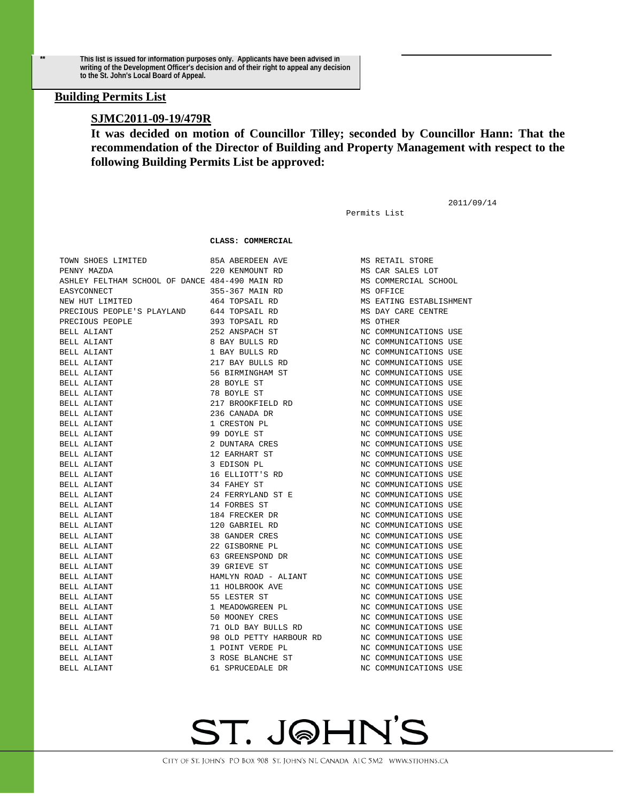**\*\* This list is issued for information purposes only. Applicants have been advised in writing of the Development Officer's decision and of their right to appeal any decision to the St. John's Local Board of Appeal.** 

### **Building Permits List**

### **SJMC2011-09-19/479R**

**It was decided on motion of Councillor Tilley; seconded by Councillor Hann: That the recommendation of the Director of Building and Property Management with respect to the following Building Permits List be approved:** 

Permits List

2011/09/14

#### **CLASS: COMMERCIAL**

| TOWN SHOES LIMITED                             | 85A ABERDEEN AVE        | MS RETAIL STORE         |  |
|------------------------------------------------|-------------------------|-------------------------|--|
| PENNY MAZDA                                    | 220 KENMOUNT RD         | MS CAR SALES LOT        |  |
| ASHLEY FELTHAM SCHOOL OF DANCE 484-490 MAIN RD |                         | MS COMMERCIAL SCHOOL    |  |
| EASYCONNECT                                    | 355-367 MAIN RD         | MS OFFICE               |  |
| NEW HUT LIMITED                                | 464 TOPSAIL RD          | MS EATING ESTABLISHMENT |  |
| PRECIOUS PEOPLE'S PLAYLAND 644 TOPSAIL RD      |                         | MS DAY CARE CENTRE      |  |
| PRECIOUS PEOPLE                                | 393 TOPSAIL RD          | MS OTHER                |  |
| BELL ALIANT                                    | 252 ANSPACH ST          | NC COMMUNICATIONS USE   |  |
| BELL ALIANT                                    | 8 BAY BULLS RD          | NC COMMUNICATIONS USE   |  |
| BELL ALIANT                                    | 1 BAY BULLS RD          | NC COMMUNICATIONS USE   |  |
| BELL ALIANT                                    | 217 BAY BULLS RD        | NC COMMUNICATIONS USE   |  |
| BELL ALIANT                                    | 56 BIRMINGHAM ST        | NC COMMUNICATIONS USE   |  |
| BELL ALIANT                                    | 28 BOYLE ST             | NC COMMUNICATIONS USE   |  |
| BELL ALIANT                                    | 78 BOYLE ST             | NC COMMUNICATIONS USE   |  |
| BELL ALIANT                                    | 217 BROOKFIELD RD       | NC COMMUNICATIONS USE   |  |
| BELL ALIANT                                    | 236 CANADA DR           | NC COMMUNICATIONS USE   |  |
| BELL ALIANT                                    | 1 CRESTON PL            | NC COMMUNICATIONS USE   |  |
| <b>BELL ALIANT</b>                             | 99 DOYLE ST             | NC COMMUNICATIONS USE   |  |
| BELL ALIANT                                    | 2 DUNTARA CRES          | NC COMMUNICATIONS USE   |  |
| BELL ALIANT                                    | 12 EARHART ST           | NC COMMUNICATIONS USE   |  |
| BELL ALIANT                                    | 3 EDISON PL             | NC COMMUNICATIONS USE   |  |
| BELL ALIANT                                    | 16 ELLIOTT'S RD         | NC COMMUNICATIONS USE   |  |
| BELL ALIANT                                    | 34 FAHEY ST             | NC COMMUNICATIONS USE   |  |
| BELL ALIANT                                    | 24 FERRYLAND ST E       | NC COMMUNICATIONS USE   |  |
| BELL ALIANT                                    | 14 FORBES ST            | NC COMMUNICATIONS USE   |  |
| BELL ALIANT                                    | 184 FRECKER DR          | NC COMMUNICATIONS USE   |  |
| BELL ALIANT                                    | 120 GABRIEL RD          | NC COMMUNICATIONS USE   |  |
| BELL ALIANT                                    | 38 GANDER CRES          | NC COMMUNICATIONS USE   |  |
| BELL ALIANT                                    | 22 GISBORNE PL          | NC COMMUNICATIONS USE   |  |
| <b>BELL ALIANT</b>                             | 63 GREENSPOND DR        | NC COMMUNICATIONS USE   |  |
| BELL ALIANT                                    | 39 GRIEVE ST            | NC COMMUNICATIONS USE   |  |
| BELL ALIANT                                    | HAMLYN ROAD - ALIANT    | NC COMMUNICATIONS USE   |  |
| BELL ALIANT                                    | 11 HOLBROOK AVE         | NC COMMUNICATIONS USE   |  |
| BELL ALIANT                                    | 55 LESTER ST            | NC COMMUNICATIONS USE   |  |
| BELL ALIANT                                    | 1 MEADOWGREEN PL        | NC COMMUNICATIONS USE   |  |
| BELL ALIANT                                    | 50 MOONEY CRES          | NC COMMUNICATIONS USE   |  |
| BELL ALIANT                                    | 71 OLD BAY BULLS RD     | NC COMMUNICATIONS USE   |  |
| BELL ALIANT                                    | 98 OLD PETTY HARBOUR RD | NC COMMUNICATIONS USE   |  |
| BELL ALIANT                                    | 1 POINT VERDE PL        | NC COMMUNICATIONS USE   |  |
| <b>BELL ALIANT</b>                             | 3 ROSE BLANCHE ST       | NC COMMUNICATIONS USE   |  |
| <b>BELL ALIANT</b>                             | 61 SPRUCEDALE DR        | NC COMMUNICATIONS USE   |  |

# ST. JOHN'S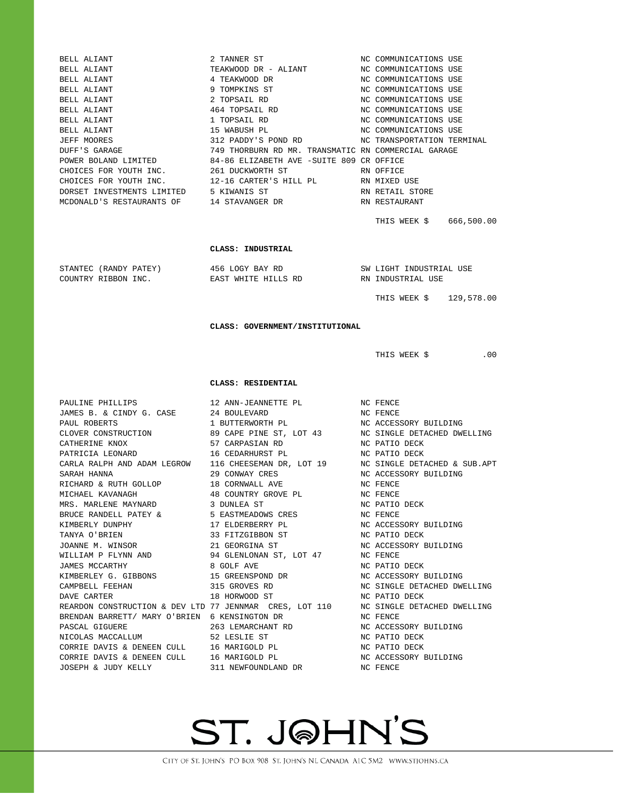|                                                                                      | 2 TANNER ST                                                                                | NC COMMUNICATIONS USE                                |
|--------------------------------------------------------------------------------------|--------------------------------------------------------------------------------------------|------------------------------------------------------|
|                                                                                      | TEAKWOOD DR - ALIANT                                                                       | NC COMMUNICATIONS USE                                |
| BELL ALIANT<br>BELL ALIANT<br>BELL ALIANT<br>BELL ALIANT<br>BELL ALIANT              | 4 TEAKWOOD DR                                                                              | NC COMMUNICATIONS USE                                |
|                                                                                      | 9 TOMPKINS ST                                                                              | NC COMMUNICATIONS USE                                |
|                                                                                      | 2 TOPSAIL RD                                                                               | NC COMMUNICATIONS USE                                |
| BELL ALIANT                                                                          | 464 TOPSAIL RD                                                                             | NC COMMUNICATIONS USE                                |
| BELL ALIANT                                                                          | 1 TOPSAIL RD                                                                               | NC COMMUNICATIONS USE                                |
| BELL ALIANT                                                                          | 15 WABUSH PL                                                                               | NC COMMUNICATIONS USE                                |
| JEFF MOORES<br>DUFF'S GARAGE                                                         | 312 PADDY'S POND RD<br>749 THORBURN RD MR. TRANSMATIC RN COMMERCIAL GARAGE                 | NC TRANSPORTATION TERMINAL                           |
|                                                                                      | POWER BOLAND LIMITED 84-86 ELIZABETH AVE -SUITE 809 CR OFFICE                              |                                                      |
|                                                                                      |                                                                                            | RN OFFICE                                            |
| CHOICES FOR YOUTH INC. 261 DUCKWORTH ST<br>CHOICES FOR YOUTH INC. 12-16 CARTER'S HIL | 12-16 CARTER'S HILL PL RN MIXED USE                                                        |                                                      |
| DORSET INVESTMENTS LIMITED 5 KIWANIS ST                                              |                                                                                            | RN RETAIL STORE                                      |
| MCDONALD'S RESTAURANTS OF 14 STAVANGER DR                                            |                                                                                            | RN RESTAURANT                                        |
|                                                                                      |                                                                                            |                                                      |
|                                                                                      |                                                                                            | THIS WEEK \$ 666,500.00                              |
|                                                                                      |                                                                                            |                                                      |
|                                                                                      | CLASS: INDUSTRIAL                                                                          |                                                      |
|                                                                                      |                                                                                            |                                                      |
| STANTEC (RANDY PATEY)                                                                | 456 LOGY BAY RD                                                                            | SW LIGHT INDUSTRIAL USE                              |
| COUNTRY RIBBON INC.                                                                  | EAST WHITE HILLS RD                                                                        | RN INDUSTRIAL USE                                    |
|                                                                                      |                                                                                            |                                                      |
|                                                                                      |                                                                                            | THIS WEEK \$129,578.00                               |
|                                                                                      |                                                                                            |                                                      |
|                                                                                      | CLASS: GOVERNMENT/INSTITUTIONAL                                                            |                                                      |
|                                                                                      |                                                                                            |                                                      |
|                                                                                      |                                                                                            | THIS WEEK \$<br>$.00 \,$                             |
|                                                                                      |                                                                                            |                                                      |
|                                                                                      |                                                                                            |                                                      |
|                                                                                      |                                                                                            |                                                      |
|                                                                                      | CLASS: RESIDENTIAL                                                                         |                                                      |
|                                                                                      |                                                                                            |                                                      |
| PAULINE PHILLIPS<br>JAMES B. & CINDY G. CASE                                         | 12 ANN-JEANNETTE PL<br>24 BOULEVARD                                                        | NC FENCE<br>NC FENCE                                 |
| PAUL ROBERTS                                                                         |                                                                                            | NC ACCESSORY BUILDING                                |
|                                                                                      | 1 BUTTERWORTH PL                                                                           |                                                      |
| CATHERINE KNOX                                                                       | CLOVER CONSTRUCTION 69 CAPE PINE ST, LOT 43 NO SINGLE DETACHED DWELLING<br>57 CARPASIAN RD | NC PATIO DECK                                        |
| PATRICIA LEONARD                                                                     | 16 CEDARHURST PL                                                                           | NC PATIO DECK                                        |
| CARLA RALPH AND ADAM LEGROW                                                          | 116 CHEESEMAN DR, LOT 19 NC SINGLE DETACHED & SUB.APT                                      |                                                      |
| SARAH HANNA                                                                          | 29 CONWAY CRES                                                                             | NC ACCESSORY BUILDING                                |
| RICHARD & RUTH GOLLOP                                                                | 18 CORNWALL AVE                                                                            | NC FENCE                                             |
| MICHAEL KAVANAGH                                                                     | 48 COUNTRY GROVE PL                                                                        | NC FENCE                                             |
| MRS. MARLENE MAYNARD                                                                 | 3 DUNLEA ST                                                                                | NC PATIO DECK                                        |
| BRUCE RANDELL PATEY &                                                                | 5 EASTMEADOWS CRES                                                                         | NC FENCE                                             |
| KIMBERLY DUNPHY                                                                      | 17 ELDERBERRY PL                                                                           | NC ACCESSORY BUILDING                                |
| TANYA O'BRIEN                                                                        | 33 FITZGIBBON ST                                                                           | NC PATIO DECK                                        |
| JOANNE M. WINSOR                                                                     | 21 GEORGINA ST                                                                             | NC ACCESSORY BUILDING                                |
| WILLIAM P FLYNN AND                                                                  | 94 GLENLONAN ST, LOT 47                                                                    | NC FENCE                                             |
| JAMES MCCARTHY                                                                       | 8 GOLF AVE                                                                                 | NC PATIO DECK                                        |
| KIMBERLEY G. GIBBONS<br>CAMPBELL FEEHAN                                              | 15 GREENSPOND DR<br>315 GROVES RD                                                          | NC ACCESSORY BUILDING<br>NC SINGLE DETACHED DWELLING |
| DAVE CARTER                                                                          | 18 HORWOOD ST                                                                              | NC PATIO DECK                                        |
| REARDON CONSTRUCTION & DEV LTD 77 JENNMAR CRES, LOT 110                              |                                                                                            | NC SINGLE DETACHED DWELLING                          |
| BRENDAN BARRETT/ MARY O'BRIEN 6 KENSINGTON DR                                        |                                                                                            | NC FENCE                                             |
| PASCAL GIGUERE                                                                       | 263 LEMARCHANT RD                                                                          | NC ACCESSORY BUILDING                                |
| NICOLAS MACCALLUM                                                                    | 52 LESLIE ST                                                                               | NC PATIO DECK                                        |
| CORRIE DAVIS & DENEEN CULL 16 MARIGOLD PL                                            |                                                                                            | NC PATIO DECK                                        |
| CORRIE DAVIS & DENEEN CULL 16 MARIGOLD PL<br>JOSEPH & JUDY KELLY                     | 311 NEWFOUNDLAND DR                                                                        | NC ACCESSORY BUILDING<br>NC FENCE                    |

# ST. J@HN'S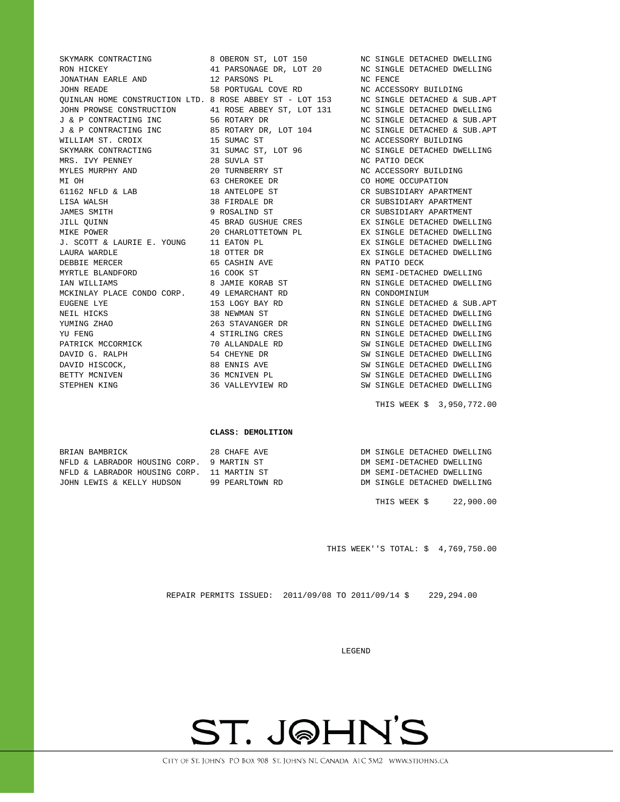JONATHAN EARLE AND 12 PARSONS PL NC FENCE JOHN READE 58 PORTUGAL COVE RD NC ACCESSORY BUILDING WILLIAM ST. CROIX 15 SUMAC ST NC ACCESSORY BUILDING SKYMARK CONTRACTING 31 SUMAC ST, LOT 96 NC SINGLE DETACHED DWELLING MRS. IVY PENNEY 28 SUVLA ST NC PATIO DECK MYLES MURPHY AND  $20$  TURNBERRY ST NC ACCESSORY BUILDING MI OH 63 CHEROKEE DR 66 CONDUCT CO HOME OCCUPATION 61162 NFLD & LAB 18 ANTELOPE ST CR SUBSIDIARY APARTMENT LISA WALSH 38 FIRDALE DR CR SUBSIDIARY APARTMENT JAMES SMITH **12 SOMILLE SMITH** 9 ROSALIND ST **CR** SUBSIDIARY APARTMENT J. SCOTT & LAURIE E. YOUNG 11 EATON PL EX SINGLE DETACHED DWELLING LAURA WARDLE 18 OTTER DR EX SINGLE DETACHED DWELLING DEBBIE MERCER 65 CASHIN AVE RN PATIO DECK MYRTLE BLANDFORD 16 COOK ST RN SEMI-DETACHED DWELLING MCKINLAY PLACE CONDO CORP. 49 LEMARCHANT RD RN CONDOMINIUM NEIL HICKS 38 NEWMAN ST RN SINGLE DETACHED DWELLING DAVID HISCOCK, 88 ENNIS AVE SW SINGLE DETACHED DWELLING

SKYMARK CONTRACTING **8 OBERON ST, LOT 150** NC SINGLE DETACHED DWELLING

RON HICKEY **11 PARSONAGE DR, LOT 20** NC SINGLE DETACHED DWELLING QUINLAN HOME CONSTRUCTION LTD. 8 ROSE ABBEY ST - LOT 153 NC SINGLE DETACHED & SUB.APT JOHN PROWSE CONSTRUCTION 41 ROSE ABBEY ST, LOT 131 NC SINGLE DETACHED DWELLING J & P CONTRACTING INC 56 ROTARY DR NC SINGLE DETACHED & SUB.APT J & P CONTRACTING INC 85 ROTARY DR, LOT 104 NC SINGLE DETACHED & SUB.APT JILL QUINN 45 BRAD GUSHUE CRES EX SINGLE DETACHED DWELLING MIKE POWER 20 CHARLOTTETOWN PL EX SINGLE DETACHED DWELLING IAN WILLIAMS 8 JAMIE KORAB ST RN SINGLE DETACHED DWELLING EUGENE LYE 153 LOGY BAY RD RN SINGLE DETACHED & SUB.APT YUMING ZHAO 263 STAVANGER DR RN SINGLE DETACHED DWELLING YU FENG **A STIRLING CRES** RN SINGLE DETACHED DWELLING PATRICK MCCORMICK 70 ALLANDALE RD SW SINGLE DETACHED DWELLING DAVID G. RALPH 54 CHEYNE DR SW SINGLE DETACHED DWELLING 36 MCNIVEN PL<br>36 VALLEYVIEW RD SW SINGLE DETACHED DWELLING STEPHEN KING 36 VALLEYVIEW RD SW SINGLE DETACHED DWELLING

THIS WEEK \$ 3,950,772.00

#### **CLASS: DEMOLITION**

| BRIAN BAMBRICK                             | 28 CHAFE AVE    | DM SINGLE DETACHED DWELLING |
|--------------------------------------------|-----------------|-----------------------------|
| NFLD & LABRADOR HOUSING CORP. 9 MARTIN ST  |                 | DM SEMI-DETACHED DWELLING   |
| NFLD & LABRADOR HOUSING CORP. 11 MARTIN ST |                 | DM SEMI-DETACHED DWELLING   |
| JOHN LEWIS & KELLY HUDSON                  | 99 PEARLTOWN RD | DM SINGLE DETACHED DWELLING |

THIS WEEK \$ 22,900.00

THIS WEEK''S TOTAL: \$ 4,769,750.00

REPAIR PERMITS ISSUED: 2011/09/08 TO 2011/09/14 \$ 229,294.00

#### LEGEND

# ST. J@HN'S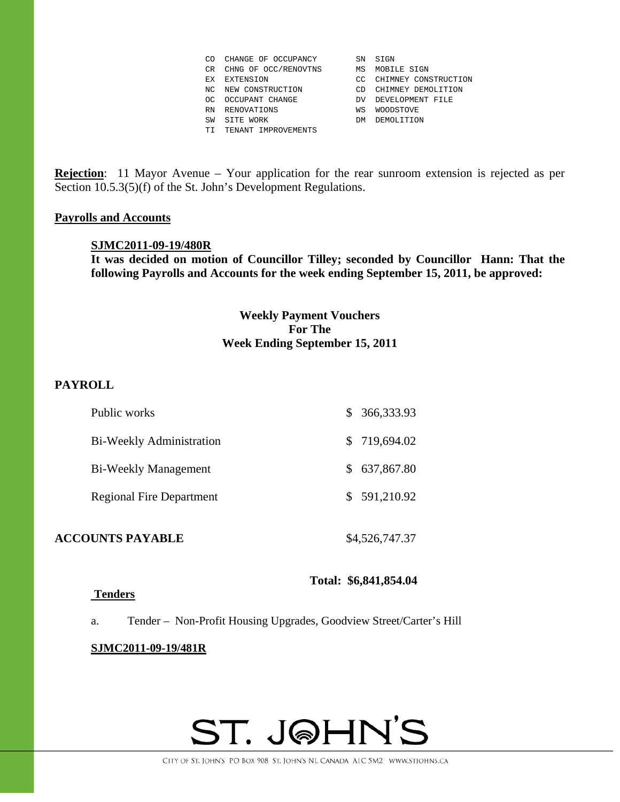| CO  | CHANGE OF OCCUPANCY  | SN | SIGN                 |
|-----|----------------------|----|----------------------|
| CR  | CHNG OF OCC/RENOVTNS | ΜS | MOBILE SIGN          |
| ЕX  | EXTENSION            | CC | CHIMNEY CONSTRUCTION |
| NC. | NEW CONSTRUCTION     | CD | CHIMNEY DEMOLITION   |
| OC. | OCCUPANT CHANGE      | DV | DEVELOPMENT FILE     |
| RN  | RENOVATIONS          | WS | <b>WOODSTOVE</b>     |
| SW  | SITE WORK            | DM | DEMOLITION           |
| TI. | TENANT IMPROVEMENTS  |    |                      |

**Rejection**: 11 Mayor Avenue – Your application for the rear sunroom extension is rejected as per Section 10.5.3(5)(f) of the St. John's Development Regulations.

### **Payrolls and Accounts**

### **SJMC2011-09-19/480R**

**It was decided on motion of Councillor Tilley; seconded by Councillor Hann: That the following Payrolls and Accounts for the week ending September 15, 2011, be approved:** 

# **Weekly Payment Vouchers For The Week Ending September 15, 2011**

# **PAYROLL**

| Public works                    | \$366,333.93 |
|---------------------------------|--------------|
| <b>Bi-Weekly Administration</b> | \$719,694.02 |
| <b>Bi-Weekly Management</b>     | \$637,867.80 |
| <b>Regional Fire Department</b> | \$591,210.92 |
|                                 |              |

**ACCOUNTS PAYABLE** \$4,526,747.37

**Total: \$6,841,854.04** 

### **Tenders**

a. Tender – Non-Profit Housing Upgrades, Goodview Street/Carter's Hill

### **SJMC2011-09-19/481R**

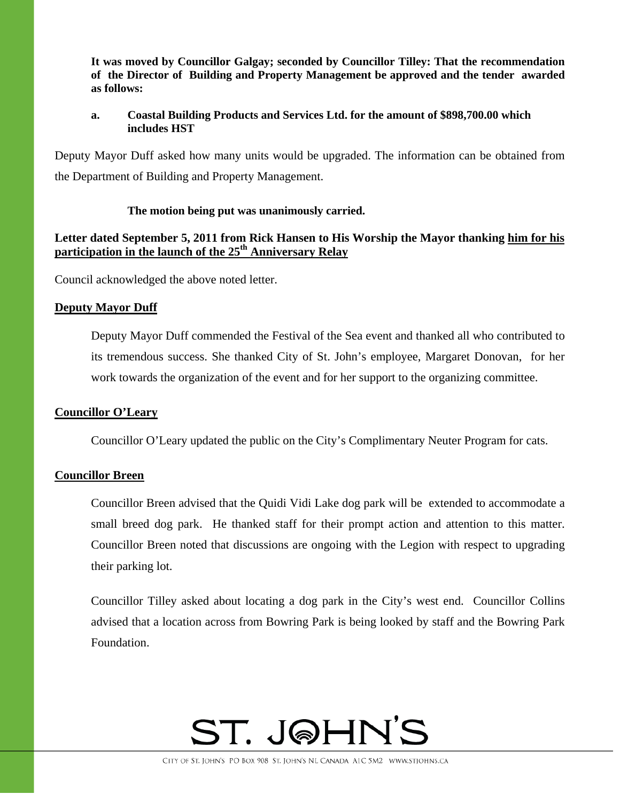**It was moved by Councillor Galgay; seconded by Councillor Tilley: That the recommendation of the Director of Building and Property Management be approved and the tender awarded as follows:** 

## **a. Coastal Building Products and Services Ltd. for the amount of \$898,700.00 which includes HST**

Deputy Mayor Duff asked how many units would be upgraded. The information can be obtained from the Department of Building and Property Management.

# **The motion being put was unanimously carried.**

# **Letter dated September 5, 2011 from Rick Hansen to His Worship the Mayor thanking him for his participation in the launch of the 25th Anniversary Relay**

Council acknowledged the above noted letter.

# **Deputy Mayor Duff**

Deputy Mayor Duff commended the Festival of the Sea event and thanked all who contributed to its tremendous success. She thanked City of St. John's employee, Margaret Donovan, for her work towards the organization of the event and for her support to the organizing committee.

# **Councillor O'Leary**

Councillor O'Leary updated the public on the City's Complimentary Neuter Program for cats.

# **Councillor Breen**

Councillor Breen advised that the Quidi Vidi Lake dog park will be extended to accommodate a small breed dog park. He thanked staff for their prompt action and attention to this matter. Councillor Breen noted that discussions are ongoing with the Legion with respect to upgrading their parking lot.

Councillor Tilley asked about locating a dog park in the City's west end. Councillor Collins advised that a location across from Bowring Park is being looked by staff and the Bowring Park Foundation.

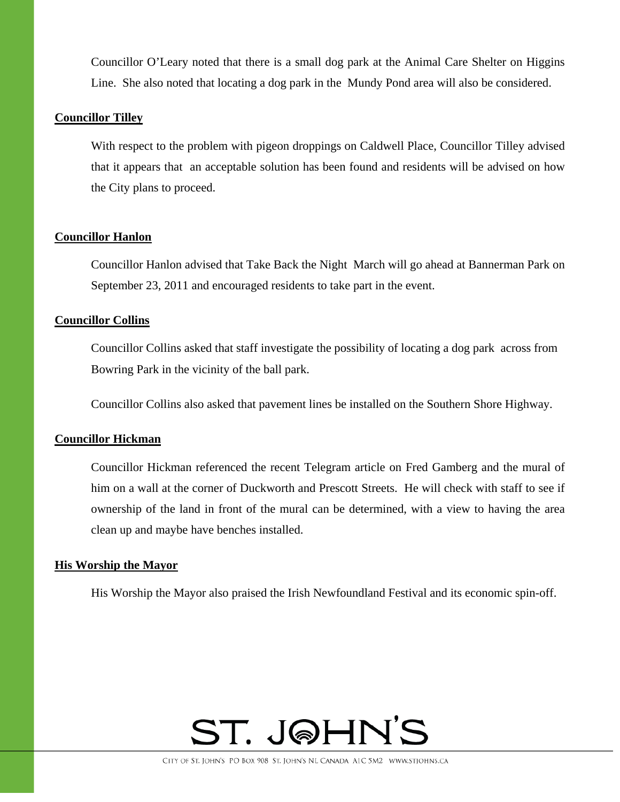Councillor O'Leary noted that there is a small dog park at the Animal Care Shelter on Higgins Line. She also noted that locating a dog park in the Mundy Pond area will also be considered.

### **Councillor Tilley**

With respect to the problem with pigeon droppings on Caldwell Place, Councillor Tilley advised that it appears that an acceptable solution has been found and residents will be advised on how the City plans to proceed.

### **Councillor Hanlon**

Councillor Hanlon advised that Take Back the Night March will go ahead at Bannerman Park on September 23, 2011 and encouraged residents to take part in the event.

### **Councillor Collins**

Councillor Collins asked that staff investigate the possibility of locating a dog park across from Bowring Park in the vicinity of the ball park.

Councillor Collins also asked that pavement lines be installed on the Southern Shore Highway.

# **Councillor Hickman**

Councillor Hickman referenced the recent Telegram article on Fred Gamberg and the mural of him on a wall at the corner of Duckworth and Prescott Streets. He will check with staff to see if ownership of the land in front of the mural can be determined, with a view to having the area clean up and maybe have benches installed.

### **His Worship the Mayor**

His Worship the Mayor also praised the Irish Newfoundland Festival and its economic spin-off.